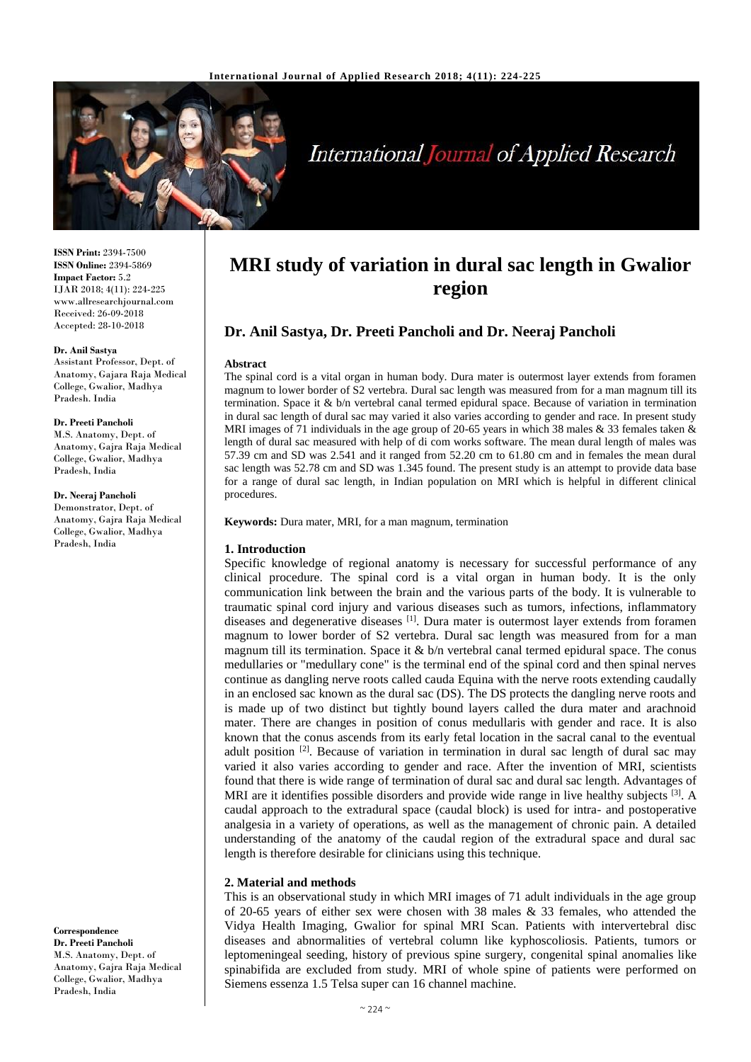

# **International Journal of Applied Research**

**ISSN Print:** 2394-7500 **ISSN Online:** 2394-5869 **Impact Factor:** 5.2 IJAR 2018; 4(11): 224-225 www.allresearchjournal.com Received: 26-09-2018 Accepted: 28-10-2018

#### **Dr. Anil Sastya**

Assistant Professor, Dept. of Anatomy, Gajara Raja Medical College, Gwalior, Madhya Pradesh. India

#### **Dr. Preeti Pancholi**

M.S. Anatomy, Dept. of Anatomy, Gajra Raja Medical College, Gwalior, Madhya Pradesh, India

#### **Dr. Neeraj Pancholi**

Demonstrator, Dept. of Anatomy, Gajra Raja Medical College, Gwalior, Madhya Pradesh, India

**Correspondence Dr. Preeti Pancholi** M.S. Anatomy, Dept. of Anatomy, Gajra Raja Medical College, Gwalior, Madhya Pradesh, India

## **MRI study of variation in dural sac length in Gwalior region**

### **Dr. Anil Sastya, Dr. Preeti Pancholi and Dr. Neeraj Pancholi**

#### **Abstract**

The spinal cord is a vital organ in human body. Dura mater is outermost layer extends from foramen magnum to lower border of S2 vertebra. Dural sac length was measured from for a man magnum till its termination. Space it & b/n vertebral canal termed epidural space. Because of variation in termination in dural sac length of dural sac may varied it also varies according to gender and race. In present study MRI images of 71 individuals in the age group of 20-65 years in which 38 males  $\&$  33 females taken  $\&$ length of dural sac measured with help of di com works software. The mean dural length of males was 57.39 cm and SD was 2.541 and it ranged from 52.20 cm to 61.80 cm and in females the mean dural sac length was 52.78 cm and SD was 1.345 found. The present study is an attempt to provide data base for a range of dural sac length, in Indian population on MRI which is helpful in different clinical procedures.

**Keywords:** Dura mater, MRI, for a man magnum, termination

#### **1. Introduction**

Specific knowledge of regional anatomy is necessary for successful performance of any clinical procedure. The spinal cord is a vital organ in human body. It is the only communication link between the brain and the various parts of the body. It is vulnerable to traumatic spinal cord injury and various diseases such as tumors, infections, inflammatory diseases and degenerative diseases [1]. Dura mater is outermost layer extends from foramen magnum to lower border of S2 vertebra. Dural sac length was measured from for a man magnum till its termination. Space it  $\&$  b/n vertebral canal termed epidural space. The conus medullaries or "medullary cone" is the terminal end of the spinal cord and then spinal nerves continue as dangling nerve roots called cauda Equina with the nerve roots extending caudally in an enclosed sac known as the dural sac (DS). The DS protects the dangling nerve roots and is made up of two distinct but tightly bound layers called the dura mater and arachnoid mater. There are changes in position of conus medullaris with gender and race. It is also known that the conus ascends from its early fetal location in the sacral canal to the eventual adult position <sup>[2]</sup>. Because of variation in termination in dural sac length of dural sac may varied it also varies according to gender and race. After the invention of MRI, scientists found that there is wide range of termination of dural sac and dural sac length. Advantages of MRI are it identifies possible disorders and provide wide range in live healthy subjects <sup>[3]</sup>. A caudal approach to the extradural space (caudal block) is used for intra- and postoperative analgesia in a variety of operations, as well as the management of chronic pain. A detailed understanding of the anatomy of the caudal region of the extradural space and dural sac length is therefore desirable for clinicians using this technique.

#### **2. Material and methods**

This is an observational study in which MRI images of 71 adult individuals in the age group of 20-65 years of either sex were chosen with 38 males & 33 females, who attended the Vidya Health Imaging, Gwalior for spinal MRI Scan. Patients with intervertebral disc diseases and abnormalities of vertebral column like kyphoscoliosis. Patients, tumors or leptomeningeal seeding, history of previous spine surgery, congenital spinal anomalies like spinabifida are excluded from study. MRI of whole spine of patients were performed on Siemens essenza 1.5 Telsa super can 16 channel machine.